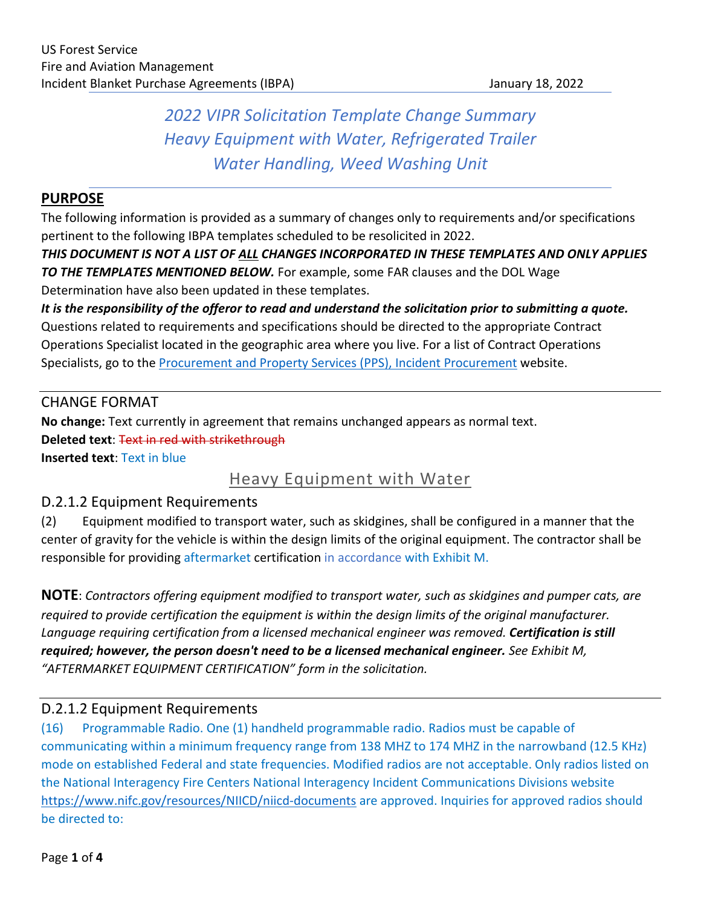# *2022 VIPR Solicitation Template Change Summary Heavy Equipment with Water, Refrigerated Trailer Water Handling, Weed Washing Unit*

### **PURPOSE**

The following information is provided as a summary of changes only to requirements and/or specifications pertinent to the following IBPA templates scheduled to be resolicited in 2022.

*THIS DOCUMENT IS NOT A LIST OF ALL CHANGES INCORPORATED IN THESE TEMPLATES AND ONLY APPLIES TO THE TEMPLATES MENTIONED BELOW.* For example, some FAR clauses and the DOL Wage Determination have also been updated in these templates.

*It is the responsibility of the offeror to read and understand the solicitation prior to submitting a quote.* Questions related to requirements and specifications should be directed to the appropriate Contract Operations Specialist located in the geographic area where you live. For a list of Contract Operations Specialists, go to th[e Procurement and Property Services \(PPS\), Incident Procurement](https://www.fs.fed.us/business/incident/contacts.php?tab=tab_c) website.

### CHANGE FORMAT

**No change:** Text currently in agreement that remains unchanged appears as normal text. **Deleted text**: Text in red with strikethrough **Inserted text**: Text in blue

### Heavy Equipment with Water

### D.2.1.2 Equipment Requirements

(2) Equipment modified to transport water, such as skidgines, shall be configured in a manner that the center of gravity for the vehicle is within the design limits of the original equipment. The contractor shall be responsible for providing aftermarket certification in accordance with Exhibit M.

**NOTE**: *Contractors offering equipment modified to transport water, such as skidgines and pumper cats, are required to provide certification the equipment is within the design limits of the original manufacturer. Language requiring certification from a licensed mechanical engineer was removed. Certification is still required; however, the person doesn't need to be a licensed mechanical engineer. See Exhibit M, "AFTERMARKET EQUIPMENT CERTIFICATION" form in the solicitation.* 

### D.2.1.2 Equipment Requirements

(16) Programmable Radio. One (1) handheld programmable radio. Radios must be capable of communicating within a minimum frequency range from 138 MHZ to 174 MHZ in the narrowband (12.5 KHz) mode on established Federal and state frequencies. Modified radios are not acceptable. Only radios listed on the National Interagency Fire Centers National Interagency Incident Communications Divisions website <https://www.nifc.gov/resources/NIICD/niicd-documents> are approved. Inquiries for approved radios should be directed to: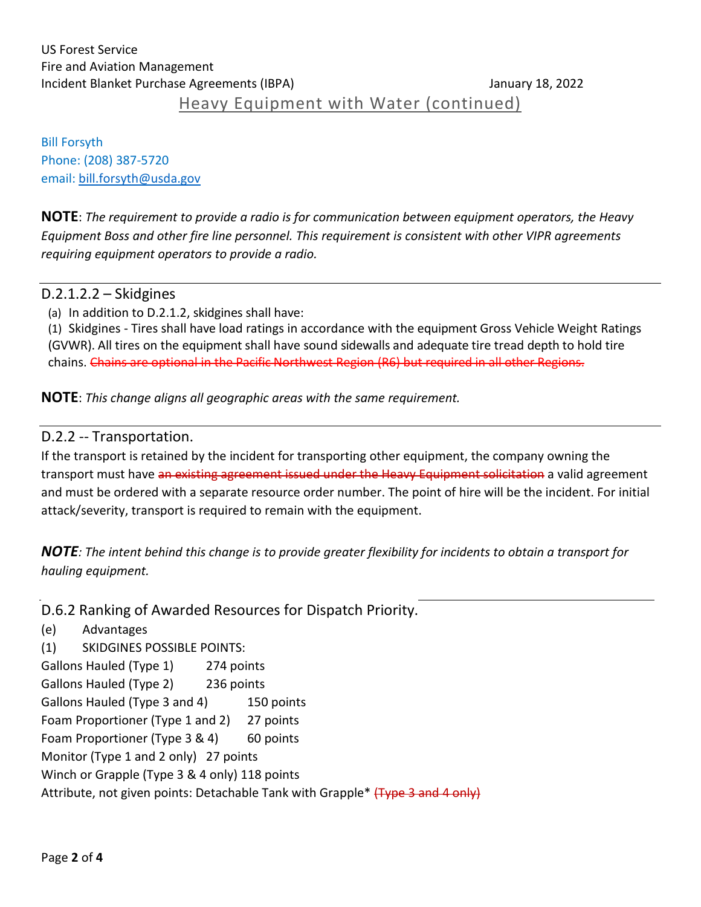Heavy Equipment with Water (continued)

Bill Forsyth Phone: (208) 387-5720 email[: bill.forsyth@usda.gov](mailto:bill.forsyth@usda.gov)

**NOTE**: *The requirement to provide a radio is for communication between equipment operators, the Heavy Equipment Boss and other fire line personnel. This requirement is consistent with other VIPR agreements requiring equipment operators to provide a radio.*

#### D.2.1.2.2 – Skidgines

(a) In addition to D.2.1.2, skidgines shall have:

(1) Skidgines - Tires shall have load ratings in accordance with the equipment Gross Vehicle Weight Ratings (GVWR). All tires on the equipment shall have sound sidewalls and adequate tire tread depth to hold tire chains. Chains are optional in the Pacific Northwest Region (R6) but required in all other Regions.

**NOTE**: *This change aligns all geographic areas with the same requirement.*

#### D.2.2 -- Transportation.

If the transport is retained by the incident for transporting other equipment, the company owning the transport must have <del>an existing agreement issued under the Heavy Equipment solicitation</del> a valid agreement and must be ordered with a separate resource order number. The point of hire will be the incident. For initial attack/severity, transport is required to remain with the equipment.

*NOTE: The intent behind this change is to provide greater flexibility for incidents to obtain a transport for hauling equipment.*

D.6.2 Ranking of Awarded Resources for Dispatch Priority.

```
(e) Advantages
```
(1) SKIDGINES POSSIBLE POINTS:

Gallons Hauled (Type 1) 274 points

Gallons Hauled (Type 2) 236 points

Gallons Hauled (Type 3 and 4) 150 points

Foam Proportioner (Type 1 and 2) 27 points

Foam Proportioner (Type 3 & 4) 60 points

Monitor (Type 1 and 2 only) 27 points

Winch or Grapple (Type 3 & 4 only) 118 points

Attribute, not given points: Detachable Tank with Grapple\* (Type 3 and 4 only)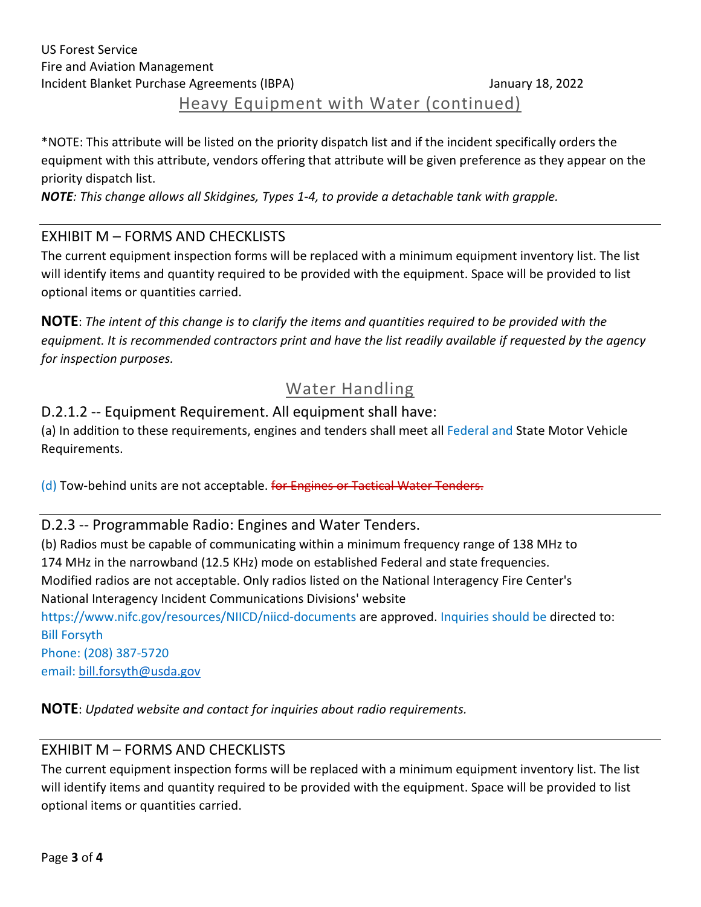### US Forest Service Fire and Aviation Management Incident Blanket Purchase Agreements (IBPA) January 18, 2022

## Heavy Equipment with Water (continued)

\*NOTE: This attribute will be listed on the priority dispatch list and if the incident specifically orders the equipment with this attribute, vendors offering that attribute will be given preference as they appear on the priority dispatch list.

*NOTE: This change allows all Skidgines, Types 1-4, to provide a detachable tank with grapple.*

#### EXHIBIT M – FORMS AND CHECKLISTS

The current equipment inspection forms will be replaced with a minimum equipment inventory list. The list will identify items and quantity required to be provided with the equipment. Space will be provided to list optional items or quantities carried.

**NOTE**: *The intent of this change is to clarify the items and quantities required to be provided with the equipment. It is recommended contractors print and have the list readily available if requested by the agency for inspection purposes.*

# Water Handling

#### D.2.1.2 -- Equipment Requirement. All equipment shall have:

(a) In addition to these requirements, engines and tenders shall meet all Federal and State Motor Vehicle Requirements.

(d) Tow-behind units are not acceptable. for Engines or Tactical Water Tenders.

#### D.2.3 -- Programmable Radio: Engines and Water Tenders.

(b) Radios must be capable of communicating within a minimum frequency range of 138 MHz to 174 MHz in the narrowband (12.5 KHz) mode on established Federal and state frequencies. Modified radios are not acceptable. Only radios listed on the National Interagency Fire Center's National Interagency Incident Communications Divisions' website https://www.nifc.gov/resources/NIICD/niicd-documents are approved. Inquiries should be directed to: Bill Forsyth Phone: (208) 387-5720 email[: bill.forsyth@usda.gov](mailto:bill.forsyth@usda.gov)

**NOTE**: *Updated website and contact for inquiries about radio requirements.* 

#### EXHIBIT M – FORMS AND CHECKLISTS

The current equipment inspection forms will be replaced with a minimum equipment inventory list. The list will identify items and quantity required to be provided with the equipment. Space will be provided to list optional items or quantities carried.